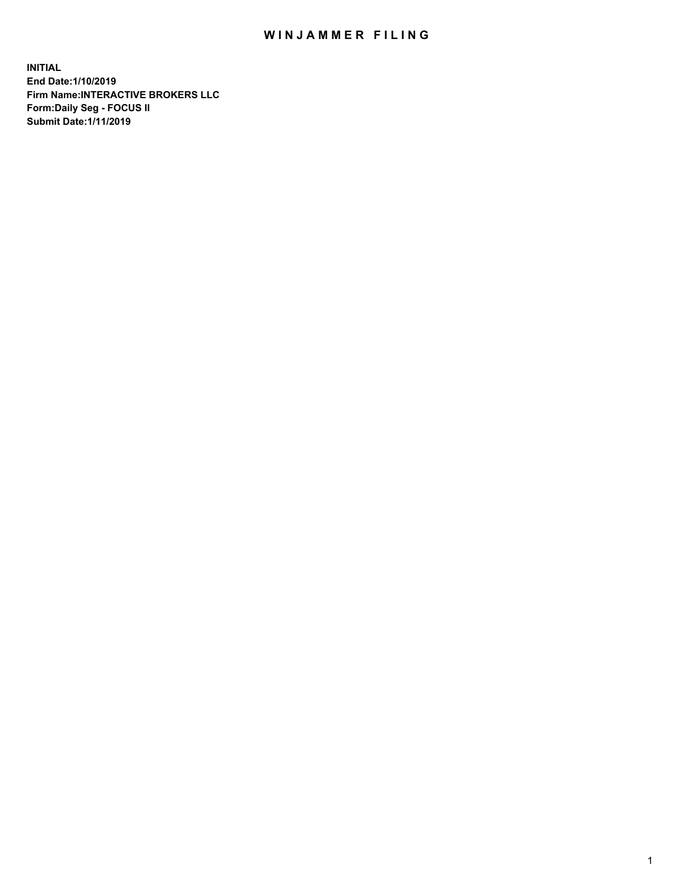## WIN JAMMER FILING

**INITIAL End Date:1/10/2019 Firm Name:INTERACTIVE BROKERS LLC Form:Daily Seg - FOCUS II Submit Date:1/11/2019**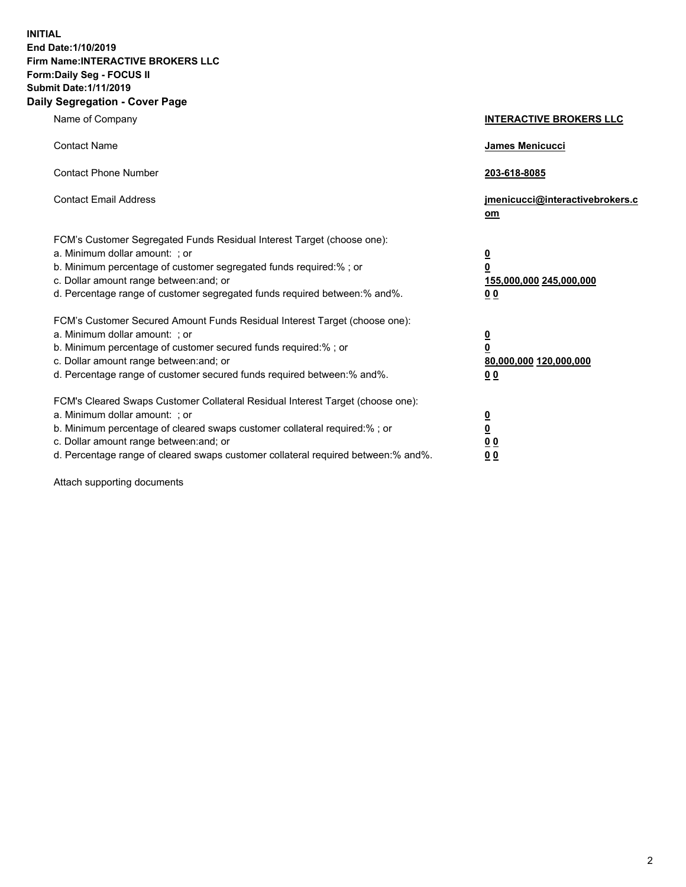**INITIAL End Date:1/10/2019 Firm Name:INTERACTIVE BROKERS LLC Form:Daily Seg - FOCUS II Submit Date:1/11/2019 Daily Segregation - Cover Page**

| Name of Company                                                                                                                                                                                                                                                                                                                | <b>INTERACTIVE BROKERS LLC</b>                                                                  |
|--------------------------------------------------------------------------------------------------------------------------------------------------------------------------------------------------------------------------------------------------------------------------------------------------------------------------------|-------------------------------------------------------------------------------------------------|
| <b>Contact Name</b>                                                                                                                                                                                                                                                                                                            | James Menicucci                                                                                 |
| <b>Contact Phone Number</b>                                                                                                                                                                                                                                                                                                    | 203-618-8085                                                                                    |
| <b>Contact Email Address</b>                                                                                                                                                                                                                                                                                                   | jmenicucci@interactivebrokers.c<br>om                                                           |
| FCM's Customer Segregated Funds Residual Interest Target (choose one):<br>a. Minimum dollar amount: ; or<br>b. Minimum percentage of customer segregated funds required:% ; or<br>c. Dollar amount range between: and; or<br>d. Percentage range of customer segregated funds required between:% and%.                         | $\overline{\mathbf{0}}$<br>$\overline{\mathbf{0}}$<br>155,000,000 245,000,000<br>0 <sub>0</sub> |
| FCM's Customer Secured Amount Funds Residual Interest Target (choose one):<br>a. Minimum dollar amount: ; or<br>b. Minimum percentage of customer secured funds required:%; or<br>c. Dollar amount range between: and; or<br>d. Percentage range of customer secured funds required between:% and%.                            | $\overline{\mathbf{0}}$<br>$\overline{\mathbf{0}}$<br>80,000,000 120,000,000<br>00              |
| FCM's Cleared Swaps Customer Collateral Residual Interest Target (choose one):<br>a. Minimum dollar amount: ; or<br>b. Minimum percentage of cleared swaps customer collateral required:% ; or<br>c. Dollar amount range between: and; or<br>d. Percentage range of cleared swaps customer collateral required between:% and%. | $\overline{\mathbf{0}}$<br>$\underline{\mathbf{0}}$<br>0 <sub>0</sub><br>0 <sub>0</sub>         |

Attach supporting documents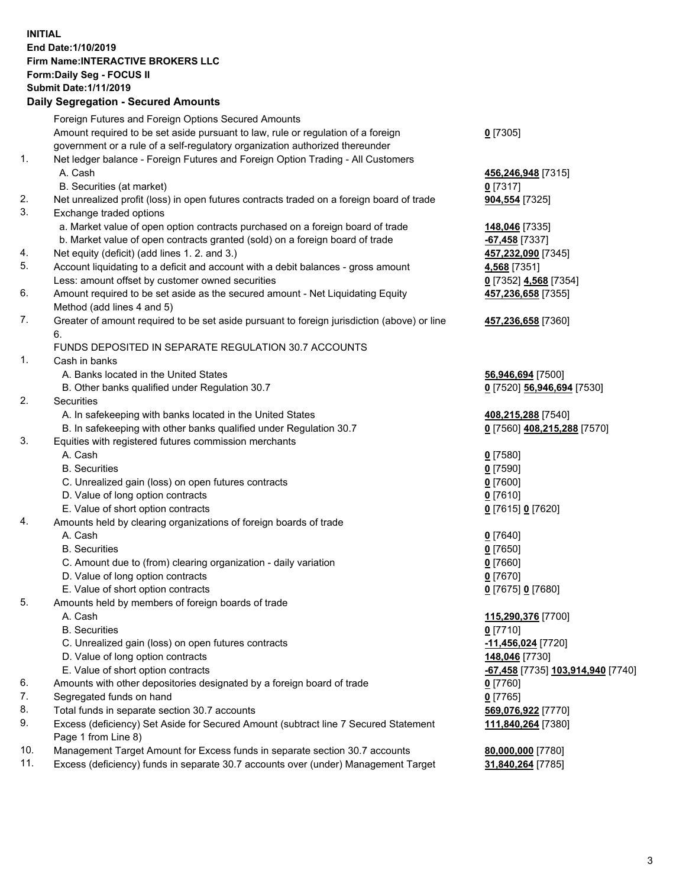## **INITIAL End Date:1/10/2019 Firm Name:INTERACTIVE BROKERS LLC Form:Daily Seg - FOCUS II Submit Date:1/11/2019 Daily Segregation - Secured Amounts**

|                | Daily Segregation - Secured Amounts                                                                  |                                   |
|----------------|------------------------------------------------------------------------------------------------------|-----------------------------------|
|                | Foreign Futures and Foreign Options Secured Amounts                                                  |                                   |
|                | Amount required to be set aside pursuant to law, rule or regulation of a foreign                     | $0$ [7305]                        |
|                | government or a rule of a self-regulatory organization authorized thereunder                         |                                   |
| $\mathbf{1}$ . | Net ledger balance - Foreign Futures and Foreign Option Trading - All Customers                      |                                   |
|                | A. Cash                                                                                              | 456,246,948 [7315]                |
|                | B. Securities (at market)                                                                            | $0$ [7317]                        |
| 2.             | Net unrealized profit (loss) in open futures contracts traded on a foreign board of trade            | 904,554 [7325]                    |
| 3.             | Exchange traded options                                                                              |                                   |
|                | a. Market value of open option contracts purchased on a foreign board of trade                       | 148,046 [7335]                    |
|                | b. Market value of open contracts granted (sold) on a foreign board of trade                         | -67,458 [7337]                    |
| 4.             | Net equity (deficit) (add lines 1. 2. and 3.)                                                        | 457,232,090 [7345]                |
| 5.             | Account liquidating to a deficit and account with a debit balances - gross amount                    | 4,568 [7351]                      |
|                | Less: amount offset by customer owned securities                                                     | 0 [7352] 4,568 [7354]             |
| 6.             | Amount required to be set aside as the secured amount - Net Liquidating Equity                       | 457,236,658 [7355]                |
|                | Method (add lines 4 and 5)                                                                           |                                   |
| 7.             | Greater of amount required to be set aside pursuant to foreign jurisdiction (above) or line          | 457,236,658 [7360]                |
|                | 6.                                                                                                   |                                   |
|                | FUNDS DEPOSITED IN SEPARATE REGULATION 30.7 ACCOUNTS                                                 |                                   |
| 1.             | Cash in banks                                                                                        |                                   |
|                | A. Banks located in the United States                                                                | 56,946,694 [7500]                 |
|                | B. Other banks qualified under Regulation 30.7                                                       | 0 [7520] 56,946,694 [7530]        |
| 2.             | <b>Securities</b>                                                                                    |                                   |
|                | A. In safekeeping with banks located in the United States                                            | 408,215,288 [7540]                |
|                | B. In safekeeping with other banks qualified under Regulation 30.7                                   | 0 [7560] 408,215,288 [7570]       |
| 3.             | Equities with registered futures commission merchants                                                |                                   |
|                | A. Cash                                                                                              | $0$ [7580]                        |
|                | <b>B.</b> Securities                                                                                 | $0$ [7590]                        |
|                | C. Unrealized gain (loss) on open futures contracts                                                  | $0$ [7600]                        |
|                | D. Value of long option contracts                                                                    | $0$ [7610]                        |
|                | E. Value of short option contracts                                                                   | 0 [7615] 0 [7620]                 |
| 4.             | Amounts held by clearing organizations of foreign boards of trade<br>A. Cash                         |                                   |
|                | <b>B.</b> Securities                                                                                 | $0$ [7640]                        |
|                |                                                                                                      | $0$ [7650]<br>$0$ [7660]          |
|                | C. Amount due to (from) clearing organization - daily variation<br>D. Value of long option contracts | $0$ [7670]                        |
|                | E. Value of short option contracts                                                                   | 0 [7675] 0 [7680]                 |
| 5.             | Amounts held by members of foreign boards of trade                                                   |                                   |
|                | A. Cash                                                                                              | 115,290,376 [7700]                |
|                | <b>B.</b> Securities                                                                                 | $0$ [7710]                        |
|                | C. Unrealized gain (loss) on open futures contracts                                                  | -11,456,024 [7720]                |
|                | D. Value of long option contracts                                                                    | 148,046 [7730]                    |
|                | E. Value of short option contracts                                                                   | -67,458 [7735] 103,914,940 [7740] |
| 6.             | Amounts with other depositories designated by a foreign board of trade                               | 0 [7760]                          |
| 7.             | Segregated funds on hand                                                                             | $0$ [7765]                        |
| 8.             | Total funds in separate section 30.7 accounts                                                        | 569,076,922 [7770]                |
| 9.             | Excess (deficiency) Set Aside for Secured Amount (subtract line 7 Secured Statement                  | 111,840,264 [7380]                |
|                | Page 1 from Line 8)                                                                                  |                                   |
| 10.            | Management Target Amount for Excess funds in separate section 30.7 accounts                          | 80,000,000 [7780]                 |
| 11.            | Excess (deficiency) funds in separate 30.7 accounts over (under) Management Target                   | 31,840,264 [7785]                 |
|                |                                                                                                      |                                   |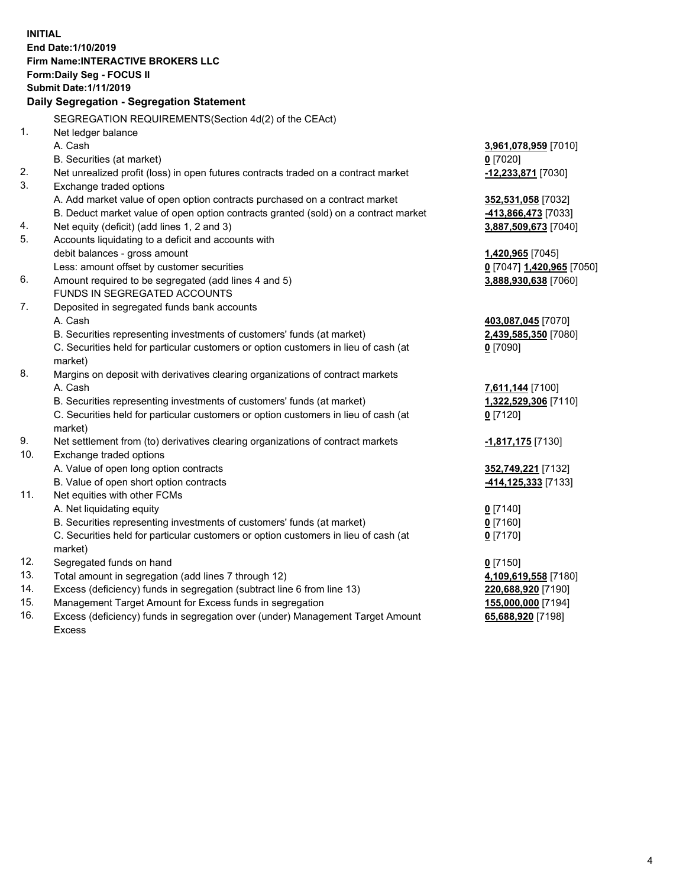**INITIAL End Date:1/10/2019 Firm Name:INTERACTIVE BROKERS LLC Form:Daily Seg - FOCUS II Submit Date:1/11/2019 Daily Segregation - Segregation Statement** SEGREGATION REQUIREMENTS(Section 4d(2) of the CEAct) 1. Net ledger balance A. Cash **3,961,078,959** [7010] B. Securities (at market) **0** [7020] 2. Net unrealized profit (loss) in open futures contracts traded on a contract market **-12,233,871** [7030] 3. Exchange traded options A. Add market value of open option contracts purchased on a contract market **352,531,058** [7032] B. Deduct market value of open option contracts granted (sold) on a contract market **-413,866,473** [7033] 4. Net equity (deficit) (add lines 1, 2 and 3) **3,887,509,673** [7040] 5. Accounts liquidating to a deficit and accounts with debit balances - gross amount **1,420,965** [7045] Less: amount offset by customer securities **0** [7047] **1,420,965** [7050] 6. Amount required to be segregated (add lines 4 and 5) **3,888,930,638** [7060] FUNDS IN SEGREGATED ACCOUNTS 7. Deposited in segregated funds bank accounts A. Cash **403,087,045** [7070] B. Securities representing investments of customers' funds (at market) **2,439,585,350** [7080] C. Securities held for particular customers or option customers in lieu of cash (at market) **0** [7090] 8. Margins on deposit with derivatives clearing organizations of contract markets A. Cash **7,611,144** [7100] B. Securities representing investments of customers' funds (at market) **1,322,529,306** [7110] C. Securities held for particular customers or option customers in lieu of cash (at market) **0** [7120] 9. Net settlement from (to) derivatives clearing organizations of contract markets **-1,817,175** [7130] 10. Exchange traded options A. Value of open long option contracts **352,749,221** [7132] B. Value of open short option contracts **-414,125,333** [7133] 11. Net equities with other FCMs A. Net liquidating equity **0** [7140] B. Securities representing investments of customers' funds (at market) **0** [7160] C. Securities held for particular customers or option customers in lieu of cash (at market) **0** [7170] 12. Segregated funds on hand **0** [7150] 13. Total amount in segregation (add lines 7 through 12) **4,109,619,558** [7180] 14. Excess (deficiency) funds in segregation (subtract line 6 from line 13) **220,688,920** [7190] 15. Management Target Amount for Excess funds in segregation **155,000,000** [7194] **65,688,920** [7198]

16. Excess (deficiency) funds in segregation over (under) Management Target Amount Excess